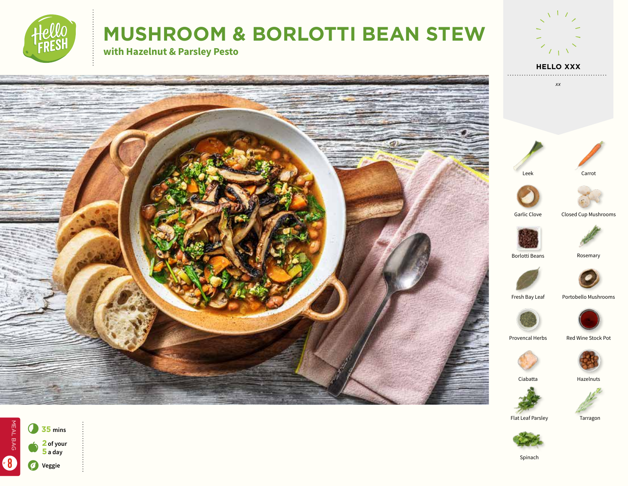

# **MUSHROOM & BORLOTTI BEAN STEW**

**with Hazelnut & Parsley Pesto**







**HELLO XXX**

 $7 + N$ 









Flat Leaf Parsley Tarragon